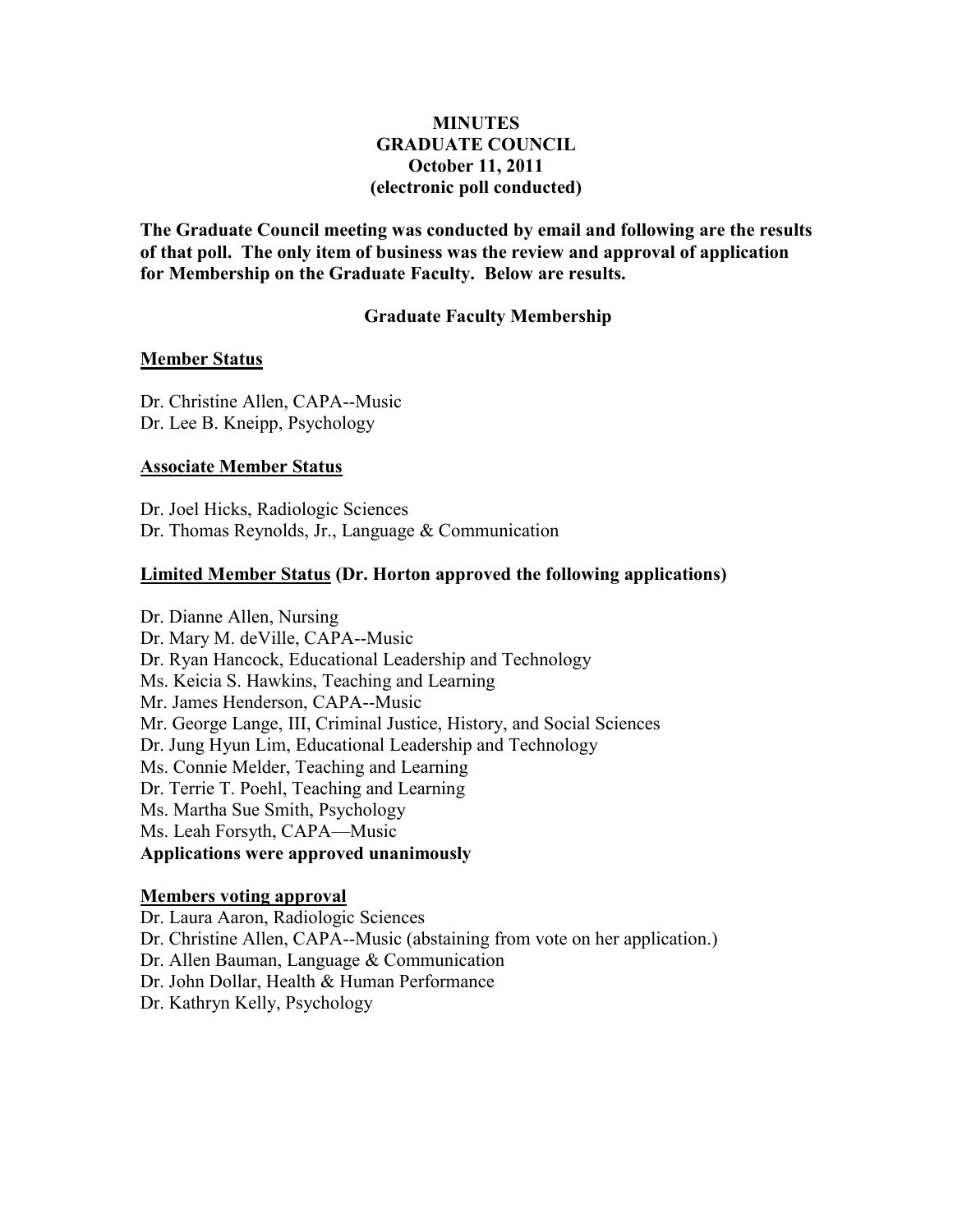# **MINUTES GRADUATE COUNCIL October 11, 2011 (electronic poll conducted)**

**The Graduate Council meeting was conducted by email and following are the results of that poll. The only item of business was the review and approval of application for Membership on the Graduate Faculty. Below are results.**

## **Graduate Faculty Membership**

### **Member Status**

Dr. Christine Allen, CAPA--Music Dr. Lee B. Kneipp, Psychology

### **Associate Member Status**

Dr. Joel Hicks, Radiologic Sciences Dr. Thomas Reynolds, Jr., Language & Communication

## **Limited Member Status (Dr. Horton approved the following applications)**

Dr. Dianne Allen, Nursing Dr. Mary M. deVille, CAPA--Music Dr. Ryan Hancock, Educational Leadership and Technology Ms. Keicia S. Hawkins, Teaching and Learning Mr. James Henderson, CAPA--Music Mr. George Lange, III, Criminal Justice, History, and Social Sciences Dr. Jung Hyun Lim, Educational Leadership and Technology Ms. Connie Melder, Teaching and Learning Dr. Terrie T. Poehl, Teaching and Learning Ms. Martha Sue Smith, Psychology Ms. Leah Forsyth, CAPA—Music **Applications were approved unanimously**

### **Members voting approval**

Dr. Laura Aaron, Radiologic Sciences

Dr. Christine Allen, CAPA--Music (abstaining from vote on her application.)

Dr. Allen Bauman, Language & Communication

Dr. John Dollar, Health & Human Performance

Dr. Kathryn Kelly, Psychology